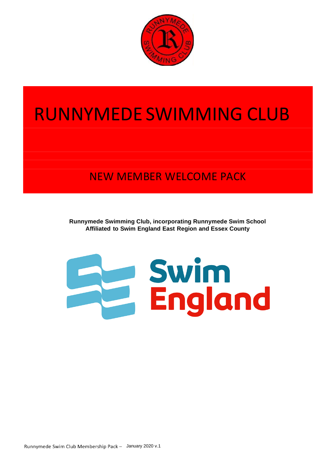

# RUNNYMEDE SWIMMING CLUB

# NEW MEMBER WELCOME PACK

**Runnymede Swimming Club, incorporating Runnymede Swim School Affiliated to Swim England East Region and Essex County**

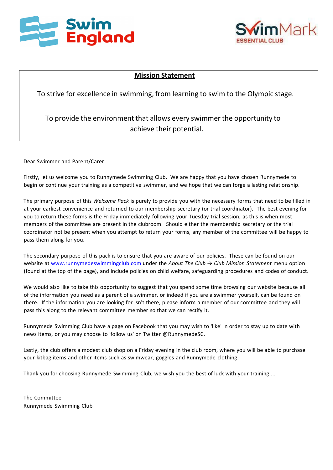



### **Mission Statement**

To strive for excellence in swimming, from learning to swim to the Olympic stage.

To provide the environment that allows every swimmer the opportunity to achieve their potential.

Dear Swimmer and Parent/Carer

Firstly, let us welcome you to Runnymede Swimming Club. We are happy that you have chosen Runnymede to begin or continue your training as a competitive swimmer, and we hope that we can forge a lasting relationship.

The primary purpose of this *Welcome Pack* is purely to provide you with the necessary forms that need to be filled in at your earliest convenience and returned to our membership secretary (or trial coordinator). The best evening for you to return these forms is the Friday immediately following your Tuesday trial session, as this is when most members of the committee are present in the clubroom. Should either the membership secretary or the trial coordinator not be present when you attempt to return your forms, any member of the committee will be happy to pass them along for you.

The secondary purpose of this pack is to ensure that you are aware of our policies. These can be found on our website at [www.runnymedeswimmingclub.com](http://www.runnymedeswimmingclub.com/) under the *About The Club → Club Mission Statement* menu option (found at the top of the page), and include policies on child welfare, safeguarding procedures and codes of conduct.

We would also like to take this opportunity to suggest that you spend some time browsing our website because all of the information you need as a parent of a swimmer, or indeed if you are a swimmer yourself, can be found on there. If the information you are looking for isn't there, please inform a member of our committee and they will pass this along to the relevant committee member so that we can rectify it.

Runnymede Swimming Club have a page on Facebook that you may wish to 'like' in order to stay up to date with news items, or you may choose to 'follow us' on Twitter @RunnymedeSC.

Lastly, the club offers a modest club shop on a Friday evening in the club room, where you will be able to purchase your kitbag items and other items such as swimwear, goggles and Runnymede clothing.

Thank you for choosing Runnymede Swimming Club, we wish you the best of luck with your training....

The Committee Runnymede Swimming Club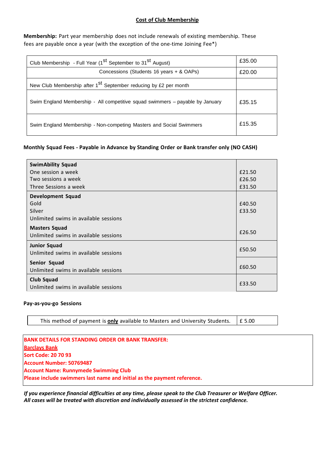#### **Cost of Club Membership**

**Membership:** Part year membership does not include renewals of existing membership. These fees are payable once a year (with the exception of the one-time Joining Fee\*)

| Club Membership - Full Year (1 <sup>st</sup> September to 31 <sup>st</sup> August) | £35.00 |
|------------------------------------------------------------------------------------|--------|
| Concessions (Students 16 years + & OAPs)                                           | £20.00 |
| New Club Membership after 1 <sup>St</sup> September reducing by £2 per month       |        |
| Swim England Membership - All competitive squad swimmers - payable by January      | £35.15 |
| Swim England Membership - Non-competing Masters and Social Swimmers                | £15.35 |

#### **Monthly Squad Fees - Payable in Advance by Standing Order or Bank transfer only (NO CASH)**

| <b>SwimAbility Squad</b>              |        |
|---------------------------------------|--------|
| One session a week                    | £21.50 |
| Two sessions a week                   | £26.50 |
| Three Sessions a week                 | £31.50 |
| Development Squad                     |        |
| Gold                                  | £40.50 |
| Silver                                | £33.50 |
| Unlimited swims in available sessions |        |
| <b>Masters Squad</b>                  |        |
| Unlimited swims in available sessions | £26.50 |
| <b>Junior Squad</b>                   |        |
| Unlimited swims in available sessions | £50.50 |
| Senior Squad                          |        |
| Unlimited swims in available sessions | £60.50 |
| <b>Club Squad</b>                     |        |
| Unlimited swims in available sessions | £33.50 |

#### **Pay-as-you-go Sessions**

This method of payment is **only** available to Masters and University Students.  $\left| \right.$  £ 5.00

**BANK DETAILS FOR STANDING ORDER OR BANK TRANSFER: Barclays Bank Sort Code: 20 70 93 Account Number: 50769487 Account Name: Runnymede Swimming Club Please include swimmers last name and initial as the payment reference.**

*If you experience financial difficulties at any time, please speak to the Club Treasurer or Welfare Officer. All cases will be treated with discretion and individually assessed in the strictest confidence.*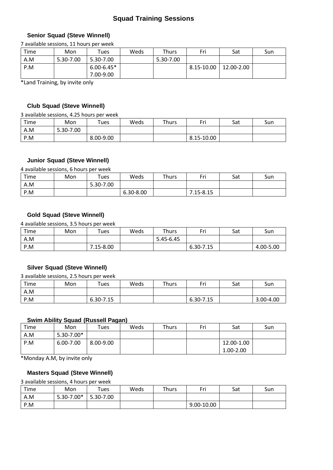### **Squad Training Sessions**

#### **Senior Squad (Steve Winnell)**

7 available sessions, 11 hours per week

| Time | Mon       | $\tau$ ues     | Weds | Thurs     | Fri        | Sat        | Sun |
|------|-----------|----------------|------|-----------|------------|------------|-----|
| A.M  | 5.30-7.00 | 5.30-7.00      |      | 5.30-7.00 |            |            |     |
| P.M  |           | $6.00 - 6.45*$ |      |           | 8.15-10.00 | 12.00-2.00 |     |
|      |           | 7.00-9.00      |      |           |            |            |     |

\*Land Training, by invite only

#### **Club Squad (Steve Winnell)**

3 available sessions, 4.25 hours per week

| Time | Mon       | $\tau$ ues | Weds | Thurs | Eri        | Sat | Sun |
|------|-----------|------------|------|-------|------------|-----|-----|
| A.M  | 5.30-7.00 |            |      |       |            |     |     |
| P.M  |           | 8.00-9.00  |      |       | 8.15-10.00 |     |     |

#### **Junior Squad (Steve Winnell)**

4 available sessions, 6 hours per week

| Time | Mon | Tues      | Weds      | Thurs | r.:       | Sat | Sun |
|------|-----|-----------|-----------|-------|-----------|-----|-----|
| A.M  |     | 5.30-7.00 |           |       |           |     |     |
| P.M  |     |           | 6.30-8.00 |       | 7.15-8.15 |     |     |

#### **Gold Squad (Steve Winnell)**

4 available sessions, 3.5 hours per week

| Time | Mon | $\tau$ ues | Weds | Thurs     | c.:       | Sat | Sun       |
|------|-----|------------|------|-----------|-----------|-----|-----------|
| A.M  |     |            |      | 5.45-6.45 |           |     |           |
| P.M  |     | 7.15-8.00  |      |           | 6.30-7.15 |     | 4.00-5.00 |

#### **Silver Squad (Steve Winnell)**

3 available sessions, 2.5 hours per week

| Time | Mon | Tues      | Weds | Thurs | Fri       | Sat | Sun       |
|------|-----|-----------|------|-------|-----------|-----|-----------|
| A.M  |     |           |      |       |           |     |           |
| P.M  |     | 6.30-7.15 |      |       | 6.30-7.15 |     | 3.00-4.00 |

#### **Swim Ability Squad (Russell Pagan)**

| Time | Mon            | $\tau$ ues | Weds | <b>Thurs</b> | Fri | Sat        | Sun |
|------|----------------|------------|------|--------------|-----|------------|-----|
| A.M  | $5.30 - 7.00*$ |            |      |              |     |            |     |
| P.M  | 6.00-7.00      | 8.00-9.00  |      |              |     | 12.00-1.00 |     |
|      |                |            |      |              |     | 1.00-2.00  |     |

\*Monday A.M, by invite only

#### **Masters Squad (Steve Winnell)**

3 available sessions, 4 hours per week

| Time | Mon        | $\tau$ ues | Weds | Thurs | Eri        | Sat | Sun |
|------|------------|------------|------|-------|------------|-----|-----|
| A.M  | 5.30-7.00* | 5.30-7.00  |      |       |            |     |     |
| P.M  |            |            |      |       | 9.00-10.00 |     |     |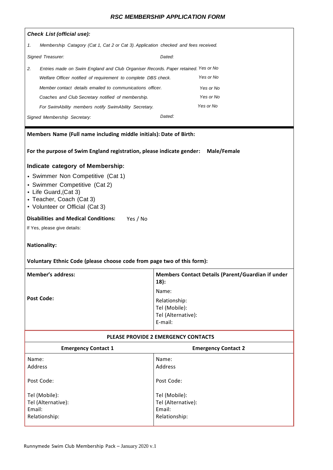#### *RSC MEMBERSHIP APPLICATION FORM*

|        | <b>Check List (official use):</b>                                                   |                                                              |  |  |  |  |  |  |  |
|--------|-------------------------------------------------------------------------------------|--------------------------------------------------------------|--|--|--|--|--|--|--|
| 1.     | Membership Catagory (Cat 1, Cat 2 or Cat 3). Application checked and fees received. |                                                              |  |  |  |  |  |  |  |
|        | Signed Treasurer:<br>Dated:                                                         |                                                              |  |  |  |  |  |  |  |
| 2.     | Entries made on Swim England and Club Organiser Records. Paper retained. Yes or No  |                                                              |  |  |  |  |  |  |  |
|        | Welfare Officer notified of requirement to complete DBS check.                      | Yes or No                                                    |  |  |  |  |  |  |  |
|        | Member contact details emailed to communications officer.                           | Yes or No                                                    |  |  |  |  |  |  |  |
|        | Coaches and Club Secretary notified of membership.                                  | Yes or No                                                    |  |  |  |  |  |  |  |
|        | For SwimAbility members notify SwimAbility Secretary.                               | Yes or No                                                    |  |  |  |  |  |  |  |
|        | Signed Membership Secretary:                                                        | Dated:                                                       |  |  |  |  |  |  |  |
|        | Members Name (Full name including middle initials): Date of Birth:                  |                                                              |  |  |  |  |  |  |  |
|        |                                                                                     |                                                              |  |  |  |  |  |  |  |
|        | For the purpose of Swim England registration, please indicate gender:               | Male/Female                                                  |  |  |  |  |  |  |  |
|        | Indicate category of Membership:                                                    |                                                              |  |  |  |  |  |  |  |
|        | • Swimmer Non Competitive (Cat 1)                                                   |                                                              |  |  |  |  |  |  |  |
|        | • Swimmer Competitive (Cat 2)                                                       |                                                              |  |  |  |  |  |  |  |
|        | • Life Guard, (Cat 3)                                                               |                                                              |  |  |  |  |  |  |  |
|        | • Teacher, Coach (Cat 3)<br>• Volunteer or Official (Cat 3)                         |                                                              |  |  |  |  |  |  |  |
|        | <b>Disabilities and Medical Conditions:</b><br>Yes / No                             |                                                              |  |  |  |  |  |  |  |
|        | If Yes, please give details:                                                        |                                                              |  |  |  |  |  |  |  |
|        |                                                                                     |                                                              |  |  |  |  |  |  |  |
|        | <b>Nationality:</b>                                                                 |                                                              |  |  |  |  |  |  |  |
|        | Voluntary Ethnic Code (please choose code from page two of this form):              |                                                              |  |  |  |  |  |  |  |
|        | Member's address:                                                                   | Members Contact Details (Parent/Guardian if under<br>$18)$ : |  |  |  |  |  |  |  |
|        |                                                                                     | Name:                                                        |  |  |  |  |  |  |  |
|        | <b>Post Code:</b>                                                                   | Relationship:                                                |  |  |  |  |  |  |  |
|        |                                                                                     | Tel (Mobile):<br>Tel (Alternative):                          |  |  |  |  |  |  |  |
|        |                                                                                     | E-mail:                                                      |  |  |  |  |  |  |  |
|        |                                                                                     | PLEASE PROVIDE 2 EMERGENCY CONTACTS                          |  |  |  |  |  |  |  |
|        | <b>Emergency Contact 1</b>                                                          | <b>Emergency Contact 2</b>                                   |  |  |  |  |  |  |  |
| Name:  |                                                                                     | Name:                                                        |  |  |  |  |  |  |  |
|        | Address                                                                             | Address                                                      |  |  |  |  |  |  |  |
|        | Post Code:                                                                          | Post Code:                                                   |  |  |  |  |  |  |  |
|        |                                                                                     |                                                              |  |  |  |  |  |  |  |
|        | Tel (Mobile):                                                                       | Tel (Mobile):                                                |  |  |  |  |  |  |  |
| Email: | Tel (Alternative):                                                                  | Tel (Alternative):<br>Email:                                 |  |  |  |  |  |  |  |
|        | Relationship:                                                                       | Relationship:                                                |  |  |  |  |  |  |  |
|        |                                                                                     |                                                              |  |  |  |  |  |  |  |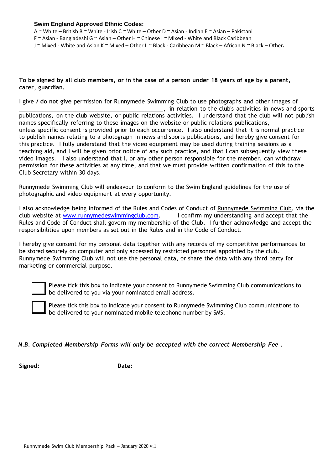#### **Swim England Approved Ethnic Codes:**

A ~ White – British B ~ White - Irish C ~ White – Other D ~ Asian - Indian E ~ Asian – Pakistani

- F ~ Asian Bangladeshi G ~ Asian Other H ~ Chinese I ~ Mixed White and Black Caribbean
- J ~ Mixed White and Asian K ~ Mixed Other L ~ Black Caribbean M ~ Black African N ~ Black Other**.**

#### To be signed by all club members, or in the case of a person under 18 years of age by a parent, **carer, guardian.**

I **give / do not give** permission for Runnymede Swimming Club to use photographs and other images of  $\Box$ , in relation to the club's activities in news and sports publications, on the club website, or public relations activities. I understand that the club will not publish names specifically referring to these images on the website or public relations publications, unless specific consent is provided prior to each occurrence. I also understand that it is normal practice to publish names relating to a photograph in news and sports publications, and hereby give consent for this practice. I fully understand that the video equipment may be used during training sessions as a teaching aid, and I will be given prior notice of any such practice, and that I can subsequently view these video images. I also understand that I, or any other person responsible for the member, can withdraw permission for these activities at any time, and that we must provide written confirmation of this to the Club Secretary within 30 days.

Runnymede Swimming Club will endeavour to conform to the Swim England guidelines for the use of photographic and video equipment at every opportunity.

I also acknowledge being informed of the Rules and Codes of Conduct of Runnymede Swimming Club, via the club website at [www.runnymedeswimmingclub.com.](http://www.runnymedeswimmingclub.com/) I confirm my understanding and accept that the Rules and Code of Conduct shall govern my membership of the Club. I further acknowledge and accept the responsibilities upon members as set out in the Rules and in the Code of Conduct.

I hereby give consent for my personal data together with any records of my competitive performances to be stored securely on computer and only accessed by restricted personnel appointed by the club. Runnymede Swimming Club will not use the personal data, or share the data with any third party for marketing or commercial purpose.



Please tick this box to indicate your consent to Runnymede Swimming Club communications to be delivered to you via your nominated email address.

Please tick this box to indicate your consent to Runnymede Swimming Club communications to  $\mathbb I$  be delivered to your nominated mobile telephone number by SMS.

#### *N.B. Completed Membership Forms will only be accepted with the correct Membership Fee .*

**Signed: Date:**